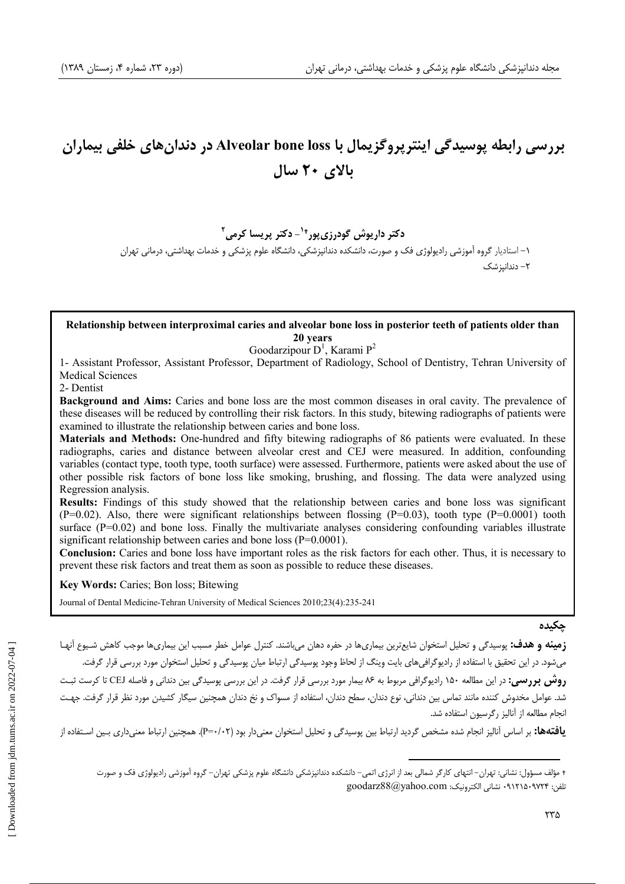# بررسی رابطه پوسیدگی اینترپروگزیمال با Alveolar bone loss در دندانهای خلفی بیماران ىالاي ٢٠ سال

دکتر داریوش گودرزی یور<sup>+۱</sup>- دکتر پریسا کرمی<sup>۲</sup> ۱– استادبار گروه آموزشی رادبولوژی فک و صورت، دانشکده دندانبزشکی، دانشگاه علوم بزشکی و خدمات پهداشتی، درمانی تهران ۲– دندانیز شک

#### Relationship between interproximal caries and alveolar bone loss in posterior teeth of patients older than 20 years

Goodarzipour  $D^1$ , Karami  $P^2$ 

1- Assistant Professor, Assistant Professor, Department of Radiology, School of Dentistry, Tehran University of **Medical Sciences** 

2- Dentist

**Background and Aims:** Caries and bone loss are the most common diseases in oral cavity. The prevalence of these diseases will be reduced by controlling their risk factors. In this study, bitewing radiographs of patients were examined to illustrate the relationship between caries and bone loss.

Materials and Methods: One-hundred and fifty bitewing radiographs of 86 patients were evaluated. In these radiographs, caries and distance between alveolar crest and CEJ were measured. In addition, confounding variables (contact type, tooth type, tooth surface) were assessed. Furthermore, patients were asked about the use of other possible risk factors of bone loss like smoking, brushing, and flossing. The data were analyzed using Regression analysis.

Results: Findings of this study showed that the relationship between caries and bone loss was significant  $(P=0.02)$ . Also, there were significant relationships between flossing  $(P=0.03)$ , tooth type  $(P=0.0001)$  tooth surface  $(P=0.02)$  and bone loss. Finally the multivariate analyses considering confounding variables illustrate significant relationship between caries and bone loss ( $P=0.0001$ ).

**Conclusion:** Caries and bone loss have important roles as the risk factors for each other. Thus, it is necessary to prevent these risk factors and treat them as soon as possible to reduce these diseases.

Key Words: Caries; Bon loss; Bitewing

Journal of Dental Medicine-Tehran University of Medical Sciences 2010;23(4):235-241

چکیدہ

**زمینه و هدف:** پوسیدگی و تحلیل استخوان شایعترین بیماریها در حفره دهان میباشند. کنترل عوامل خطر مسبب این بیماریها موجب کاهش شیوع آنهـا می شود. در این تحقیق با استفاده از رادیوگرافی های بایت وینگ از لحاظ وجود پوسیدگی ارتباط میان پوسیدگی و تحلیل استخوان مورد بررسی قرار گرفت. **روش بررسی:** در این مطالعه ۱۵۰ رادیوگرافی مربوط به ۸۶ بیمار مورد بررسی قرار گرفت. در این بررسی پوسیدگی بین دندانی و فاصله CEJ تا کرست ثبت شد. عوامل مخدوش کننده مانند تماس بین دندانی، نوع دندان، سطح دندان، استفاده از مسواک و نخ دندان همچنین سیگار کشیدن مورد نظر قرار گرفت. جهت انحام مطالعه از آنالیز رگرسیون استفاده شد.

**یافتهها:** بر اساس آنالیز انجام شده مشخص گردید ارتباط بین پوسیدگی و تحلیل استخوان معنی دار بود (P=۰/۰۲). همچنین ارتباط معنی داری بـین اسـتفاده از

<sup>+</sup> مؤلف مسؤول: نشانی: تهران– انتهای کارگر شمالی بعد از انرژی اتمی– دانشکده دندانپزشکی دانشگاه علوم پزشکی تهران– گروه آموزشی رادیولوژی فک و صورت تلفن: ٩٧٢۴-٩١٢١٥٠ نشاني الكترونيك: goodarz88@yahoo.com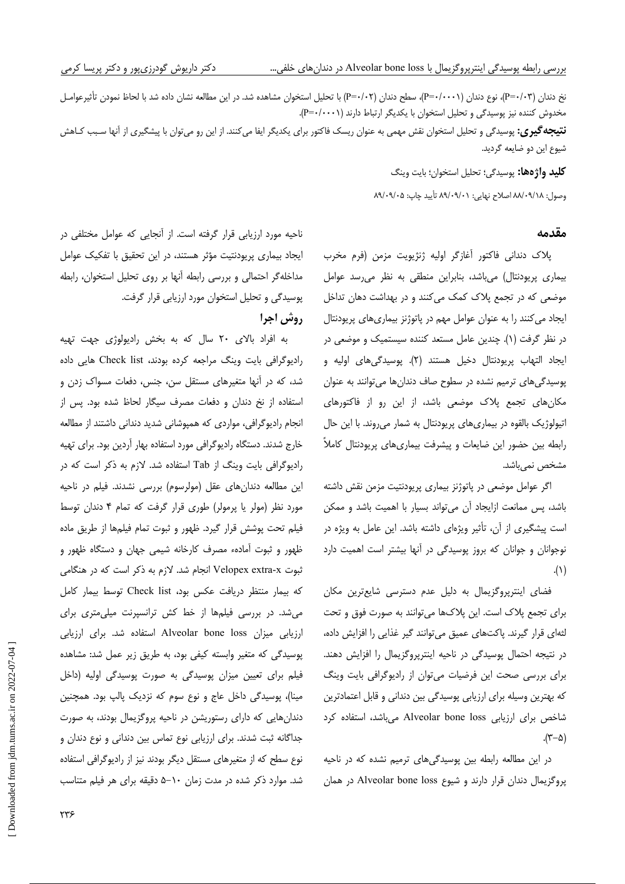نخ دندان (P=۰/۰۳)، نوع دندان (P=۰/۰۰۰)، سطح دندان (P=۰/۰۲) با تحلیل استخوان مشاهده شد. در این مطالعه نشان داده شد با لحاظ نمودن تأثیرعوامـل مخدوش کننده نیز پوسیدگی و تحلیل استخوان با یکدیگر ارتباط دارند (P=۰/۰۰۰۱).

**نتیجه گیری:** پوسیدگی و تحلیل استخوان نقش مهمی به عنوان ریسک فاکتور برای یکدیگر ایفا میکنند. از این رو می توان با پیشگیری از آنها سـبب کـاهش شيوع اين دو ضايعه گرديد.

**كليد واژهها:** پوسيدگي؛ تحليل استخوان؛ بايت وينگ

وصول: ٨٨/٠٩/١٨ اصلاح نهايي: ٨٩/٠٩/٠١ تأييد چاپ: ٨٩/٠٩/٠٨

#### مقدمه

پلاک دندانی فاکتور آغازگر اولیه ژنژیویت مزمن (فرم مخرب بیماری پریودنتال) میباشد، بنابراین منطقی به نظر می رسد عوامل موضعی که در تجمع پلاک کمک میکنند و در بهداشت دهان تداخل ایجاد می کنند را به عنوان عوامل مهم در پاتوژنز بیماریهای پریودنتال در نظر گرفت (۱). چندین عامل مستعد کننده سیستمیک و موضعی در ايجاد التهاب پريودنتال دخيل هستند (٢). پوسيدگيهاي اوليه و پوسیدگی های ترمیم نشده در سطوح صاف دندان ها می توانند به عنوان مکانهای تجمع پلاک موضعی باشد، از این رو از فاکتورهای اتیولوژیک بالقوه در بیماریهای پریودنتال به شمار می روند. با این حال رابطه بین حضور این ضایعات و پیشرفت بیماریهای پریودنتال کاملاً مشخص نمی،باشد.

اگر عوامل موضعی در پاتوژنز بیماری پریودنتیت مزمن نقش داشته باشد، پس ممانعت ازایجاد آن می تواند بسیار با اهمیت باشد و ممکن است پیشگیری از آن، تأثیر ویژهای داشته باشد. این عامل به ویژه در نوجوانان و جوانان که بروز پوسیدگی در آنها بیشتر است اهمیت دارد  $\Lambda$ )

فضای اینترپروگزیمال به دلیل عدم دسترسی شایعترین مکان برای تجمع پلاک است. این پلاکها میتوانند به صورت فوق و تحت لثهای قرار گیرند. پاکتهای عمیق میتوانند گیر غذایی را افزایش داده، در نتیجه احتمال پوسیدگی در ناحیه اینترپروگزیمال را افزایش دهند. برای بررسی صحت این فرضیات میتوان از رادیوگرافی بایت وینگ که بهترین وسیله برای ارزیابی پوسیدگی بین دندانی و قابل اعتمادترین شاخص برای ارزیابی Alveolar bone loss میباشد، استفاده کرد  $(\tau-\Delta)$ 

در این مطالعه رابطه بین پوسیدگیهای ترمیم نشده که در ناحیه یروگزیمال دندان قرار دارند و شیوع Alveolar bone loss در همان

ناحیه مورد ارزیابی قرار گرفته است. از آنجایی که عوامل مختلفی در ایجاد بیماری پریودنتیت مؤثر هستند، در این تحقیق با تفکیک عوامل مداخله گر احتمالی و بررسی رابطه آنها بر روی تحلیل استخوان، رابطه پوسیدگی و تحلیل استخوان مورد ارزیابی قرار گرفت.

## روش اجرا

به افراد بالای ٢٠ سال كه به بخش راديولوژى جهت تهيه رادیوگرافی بایت وینگ مراجعه کرده بودند، Check list هایی داده شد، که در آنها متغیرهای مستقل سن، جنس، دفعات مسواک زدن و استفاده از نخ دندان و دفعات مصرف سیگار لحاظ شده بود. پس از انجام رادیوگرافی، مواردی که همپوشانی شدید دندانی داشتند از مطالعه خارج شدند. دستگاه رادیوگرافی مورد استفاده بهار آردین بود. برای تهیه رادیوگرافی بایت وینگ از Tab استفاده شد. لازم به ذکر است که در این مطالعه دندانهای عقل (مولرسوم) بررسی نشدند. فیلم در ناحیه مورد نظر (مولر یا پرمولر) طوری قرار گرفت که تمام ۴ دندان توسط فیلم تحت پوشش قرار گیرد. ظهور و ثبوت تمام فیلمها از طریق ماده ظهور و ثبوت آمادهء مصرف کارخانه شیمی جهان و دستگاه ظهور و ثبوت Velopex extra-x انجام شد. لازم به ذکر است که در هنگامی كه بيمار منتظر دريافت عكس بود، Check list توسط بيمار كامل می شد. در بررسی فیلمها از خط کش ترانسپرنت میلی متری برای ارزیابی میزان Alveolar bone loss استفاده شد. برای ارزیابی پوسیدگی که متغیر وابسته کیفی بود، به طریق زیر عمل شد: مشاهده فیلم برای تعیین میزان پوسیدگی به صورت پوسیدگی اولیه (داخل مینا)، پوسیدگی داخل عاج و نوع سوم که نزدیک پالپ بود. همچنین دندانهایی که دارای رستوریشن در ناحیه پروگزیمال بودند، به صورت جداگانه ثبت شدند. برای ارزیابی نوع تماس بین دندانی و نوع دندان و نوع سطح که از متغیرهای مستقل دیگر بودند نیز از رادیوگرافی استفاده شد. موارد ذکر شده در مدت زمان ۱۰–۵ دقیقه برای هر فیلم متناسب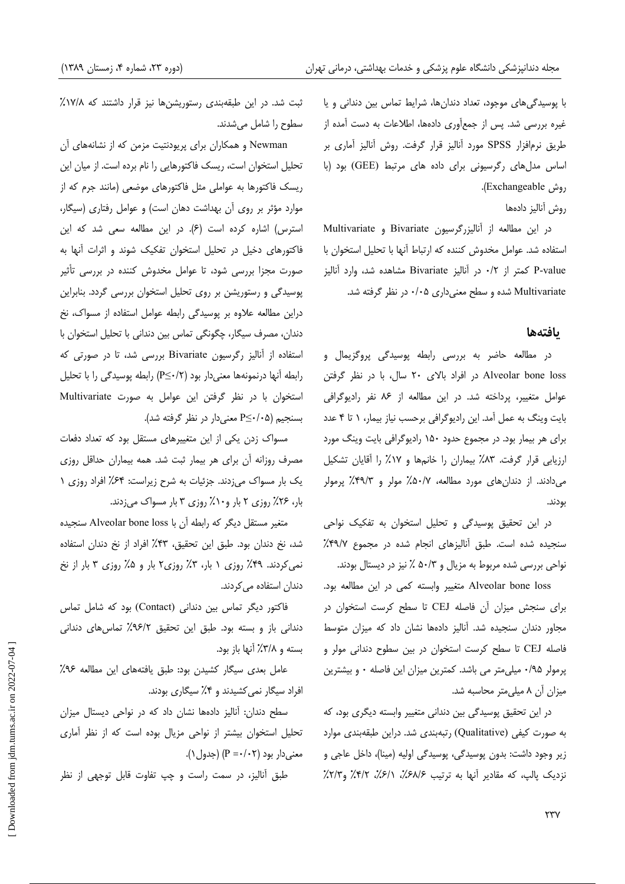با پوسیدگیهای موجود، تعداد دندانها، شرایط تماس بین دندانی و یا غیره بررسی شد. پس از جمعأوری دادهها، اطلاعات به دست أمده از طريق نرم|فزار SPSS مورد آناليز قرار گرفت. روش آناليز آماري بر اساس مدل های رگرسیونی برای داده های مرتبط (GEE) بود (با .(وش Exchangeable).

روش آناليز دادەها

در این مطالعه از آنالیزرگرسیون Bivariate و Multivariate استفاده شد. عوامل مخدوش كننده كه ارتباط آنها با تحليل استخوان با P-value کمتر از ۰/۲ در آنالیز Bivariate مشاهده شد، وارد آنالیز Multivariate شده و سطح معنىدارى ۰/۰۵ در نظر گرفته شد.

### **يافتهها**

در مطالعه حاضر به بررسی رابطه پوسیدگی پروگزیمال و Alveolar bone loss در افراد بالای ۲۰ سال، با در نظر گرفتن عوامل متغییر، پرداخته شد. در این مطالعه از ۸۶ نفر رادیوگرافی بایت وینگ به عمل آمد. این رادیوگرافی برحسب نیاز بیمار، ۱ تا ۴ عدد برای هر بیمار بود. در مجموع حدود ۱۵۰ رادیوگرافی بایت وینگ مورد ارزیابی قرار گرفت. ۸۳٪ بیماران را خانمها و ۱۷٪ را آقایان تشکیل میدادند. از دندانهای مورد مطالعه، ۵۰/۷٪ مولر و ۴۹/۳٪ پرمولر بودند.

در این تحقیق پوسیدگی و تحلیل استخوان به تفکیک نواحی سنجیده شده است. طبق أنالیزهای انجام شده در مجموع ۴۹/۷٪ نواحی بررسی شده مربوط به مزیال و ۵۰/۳ ٪ نیز در دیستال بودند.

Alveolar bone loss متغيير وابسته كمي در اين مطالعه بود. برای سنجش میزان آن فاصله CEJ تا سطح کرست استخوان در مجاور دندان سنجیده شد. آنالیز دادهها نشان داد که میزان متوسط فاصله CEJ تا سطح كرست استخوان در بين سطوح دنداني مولر و پرمولر ۰/۹۵ میلی متر می باشد. کمترین میزان این فاصله ۰ و بیشترین میزان آن ۸ میلی متر محاسبه شد.

در این تحقیق پوسیدگی بین دندانی متغییر وابسته دیگری بود، که به صورت کیفی (Qualitative) رتبهبندی شد. دراین طبقهبندی موارد زیر وجود داشت: بدون پوسیدگی، پوسیدگی اولیه (مینا)، داخل عاجی و نزدیک پالپ، که مقادیر أنها به ترتیب ۶۸/۶٪، ۲/۲٪، ۴/۲٪ و۲/۲٪

ثبت شد. در این طبقهبندی رستوریشنها نیز قرار داشتند که ۱۷/۸٪ سطوح را شامل میشدند.

Newman و همكاران براي پريودنتيت مزمن كه از نشانههاي آن تحلیل استخوان است، ریسک فاکتورهایی را نام برده است. از میان این ریسک فاکتورها به عواملی مثل فاکتورهای موضعی (مانند جرم که از -موارد مؤثر بر روى آن بهداشت دهان است) و عوامل رفتارى (سيگار، استرس) اشاره كرده است (۶). در اين مطالعه سعى شد كه اين فاکتورهای دخیل در تحلیل استخوان تفکیک شوند و اثرات آنها به صورت مجزا بررسی شود، تا عوامل مخدوش کننده در بررسی تأثیر پوسیدگی و رستوریشن بر روی تحلیل استخوان بررسی گردد. بنابراین دراین مطالعه علاوه بر پوسیدگی رابطه عوامل استفاده از مسواک، نخ دندان، مصرف سیگار، چگونگی تماس بین دندانی با تحلیل استخوان با استفاده از آنالیز رگرسیون Bivariate بررسی شد، تا در صورتی که رابطه آنها درنمونهها معنی دار بود (P≤٠/٢) رابطه یوسیدگی را با تحلیل استخوان با در نظر گرفتن این عوامل به صورت Multivariate بسنجيم (P≤٠/٠۵ معنىدار در نظر گرفته شد).

مسواک زدن یکی از این متغییرهای مستقل بود که تعداد دفعات مصرف روزانه آن براى هر بيمار ثبت شد. همه بيماران حداقل روزى یک بار مسواک میزدند. جزئیات به شرح زیراست: ۶۴٪ افراد روزی ۱ بار، ۲۶٪ روزی ۲ بار و۱۰٪ روزی ۳ بار مسواک میزدند.

متغیر مستقل دیگر که رابطه آن با Alveolar bone loss سنجیده شد، نخ دندان بود. طبق این تحقیق، ۴۳٪ افراد از نخ دندان استفاده نمیکردند. ۴۹٪ روزی ۱ بار، ۳٪ روزی۲ بار و ۵٪ روزی ۳ بار از نخ دندان استفاده م*ی ک*ردند.

فاكتور ديگر تماس بين دندانى (Contact) بود كه شامل تماس دندانی باز و بسته بود. طبق این تحقیق ۶/۹۶٪ تماس های دندانی بسته و ۳/۸٪ آنها باز بود.

عامل بعدى سيكار كشيدن بود: طبق يافتههاى اين مطالعه ٩٤٪ افراد سیگار نمی کشیدند و ۴٪ سیگاری بودند.

سطح دندان: أناليز دادهها نشان داد كه در نواحي ديستال ميزان تحلیل استخوان بیشتر از نواحی مزیال بوده است که از نظر آماری  $(P = \cdot / \cdot \tau)$  معنی دار بود (P = $\cdot / \cdot \tau$ ).

طبق أناليز، در سمت راست و چپ تفاوت قابل توجهی از نظر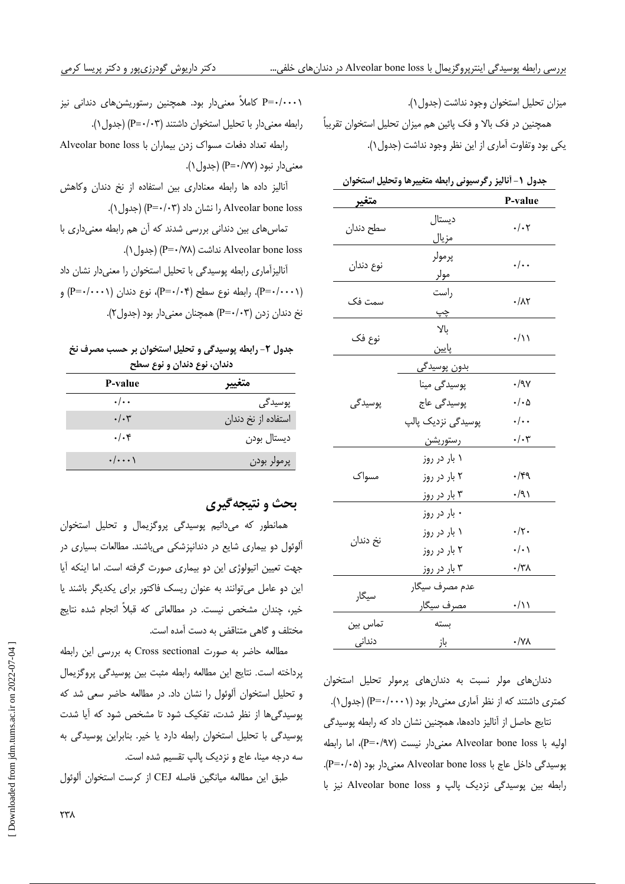P=۰/۰۰۰۱ کاملاً معنیدار بود. همچنین رستوریشنهای دندانی نیز رابطه معنى دار با تحليل استخوان داشتند (P=٠/٠٣) (جدول ١). رابطه تعداد دفعات مسواك زدن بيماران با Alveolar bone loss معنى دار نبود (٢٧/ +=P) (جدول ١). آنالیز داده ها رابطه معناداری بین استفاده از نخ دندان وکاهش Alveolar bone loss را نشان داد (P=۰/۰۳) (جدول ۱). تماس های بین دندانی بررسی شدند که آن هم رابطه معنیداری با Alveolar bone loss نداشت (P=٠/٧٨) (حدول ١). أناليزأماري رابطه پوسيدگي با تحليل استخوان را معنىدار نشان داد (P=۰/۰۰۰۱). رابطه نوع سطح (P=۰/۰۴)، نوع دندان (P=۰/۰۰۰۱) و نخ دندان زدن (P=۰/۰۳) همچنان معنیدار بود (جدول۲).

#### جدول ٢- رابطه پوسیدگی و تحلیل استخوان بر حسب مصرف نخ دندان، نوع دندان و نوع سطح

| P-value                 | $\sim$              |
|-------------------------|---------------------|
| $\cdot/\cdot$           | پوسیدگی             |
| $\cdot/\cdot$ ۳         | استفاده از نخ دندان |
| $.$ / $.$ ۴             | ديستال بودن         |
| $\cdot/\cdot\cdot\cdot$ | پرمولر بودن         |

## بحث و نتيجهگيري

همانطور که میدانیم پوسیدگی پروگزیمال و تحلیل استخوان آلوئول دو بیماری شایع در دندانپزشکی میباشند. مطالعات بسیاری در جهت تعيين اتيولوژي اين دو بيماري صورت گرفته است. اما اينكه آيا این دو عامل میتوانند به عنوان ریسک فاکتور برای یکدیگر باشند یا خیر، چندان مشخص نیست. در مطالعاتی که قبلاً انجام شده نتایج مختلف و گاهی متناقض به دست آمده است.

مطالعه حاضر به صورت Cross sectional به بررسی این رابطه يرداخته است. نتايج اين مطالعه رابطه مثبت بين يوسيدگي يروگزيمال و تحلیل استخوان آلوئول را نشان داد. در مطالعه حاضر سعی شد که پوسیدگیها از نظر شدت، تفکیک شود تا مشخص شود که آیا شدت پوسیدگی با تحلیل استخوان رابطه دارد یا خیر. بنابراین پوسیدگی به سه درجه مینا، عاج و نزدیک پالپ تقسیم شده است.

طبق اين مطالعه ميانگين فاصله CEJ از كرست استخوان ألوئول

ميزان تحليل استخوان وجود نداشت (جدول ۱).

همچنین در فک بالا و فک پائین هم میزان تحلیل استخوان تقریباً یکی بود وتفاوت آماری از این نظر وجود نداشت (جدول ۱).

|  |  |  | جدول ١- أناليز رگرسيوني رابطه متغييرها وتحليل استخوان |  |  |  |
|--|--|--|-------------------------------------------------------|--|--|--|
|--|--|--|-------------------------------------------------------|--|--|--|

| متغير                      |                                                                               | P-value                                                                       |
|----------------------------|-------------------------------------------------------------------------------|-------------------------------------------------------------------------------|
| سطح دندان                  | ديستال<br>مزيال                                                               | $\cdot/\cdot$ ۲                                                               |
| نوع دندان                  | پرمولر<br>مولر                                                                | $.$ / $.$                                                                     |
| سمت فک                     | راست<br><u>چپ</u>                                                             | $\cdot/\lambda\Upsilon$                                                       |
| نوع فک                     | بالا<br>پايين                                                                 | $\cdot/\lambda$                                                               |
| پوسیدگی                    | بدون پوسیدگی<br>پوسیدگی مینا<br>پوسیدگی عاج<br>پوسیدگی نزدیک پالپ<br>رستوريشن | $\cdot$ /9 $\vee$<br>$\cdot/\cdot \Delta$<br>$\cdot/\cdot$<br>$\cdot/\cdot$ ۳ |
| مسواک                      | ۱ بار در روز<br>۲ بار در روز<br>۳ بار در روز                                  | $\cdot$ /۴۹<br>۰/۹۱                                                           |
| نخ دندان                   | ۰ بار در روز<br>۱ بار در روز<br>۲ بار در روز<br>۳ بار در روز                  | $\cdot/\uparrow$ .<br>$\cdot/\cdot$<br>۰/۳۸                                   |
| سيگار                      | عدم مصرف سیگار<br>مصرف سيگار                                                  | ۰/۱۱                                                                          |
| تماس بين<br>دندان <u>ی</u> | بسته<br><u>باز</u>                                                            | $\cdot/\forall\lambda$                                                        |

دندان های مولر نسبت به دندان های پرمولر تحلیل استخوان کمتری داشتند که از نظر آماری معنیدار بود (P=۰/۰۰۰۱) (جدول۱). نتايج حاصل از آناليز دادهها، همچنين نشان داد كه رابطه پوسيدگى اوليه با Alveolar bone loss معنى دار نيست (P=٠/٩٧)، اما رابطه یوسیدگی داخل عاج با Alveolar bone loss معنی دار بود (P=٠/٠۵). رابطه بین پوسیدگی نزدیک پالپ و Alveolar bone loss نیز با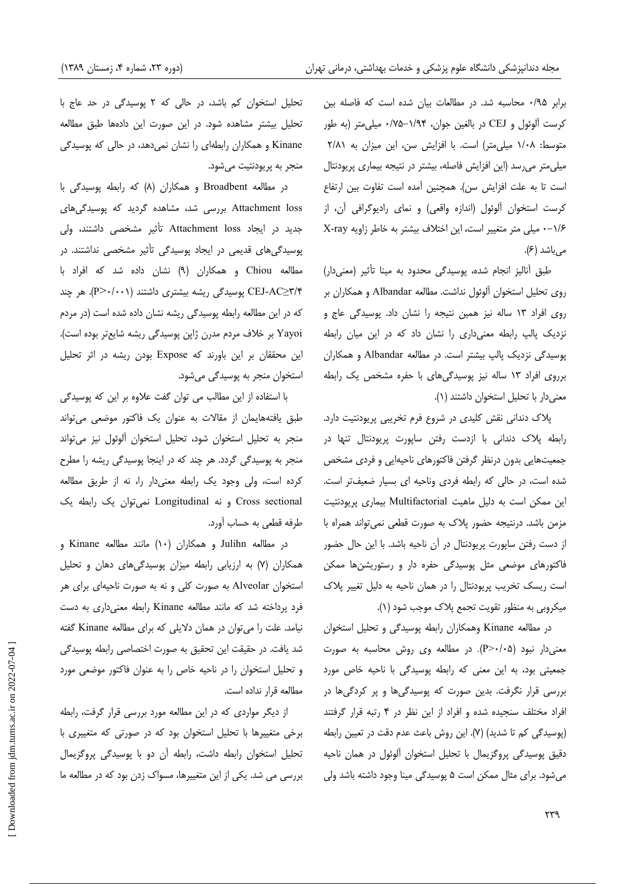برابر ۰/۹۵ محاسبه شد. در مطالعات بیان شده است که فاصله بین كرست آلوئول و CEJ در بالغين جوان، ١/٩۴–١/٧۵ ميلي متر (به طور متوسط: ١/٠٨ ميلي متر) است. با افزايش سن، اين ميزان به ٢/٨١ میلی متر می رسد (این افزایش فاصله، بیشتر در نتیجه بیماری پریودنتال است تا به علت افزایش سن). همچنین آمده است تفاوت بین ارتفاع كرست استخوان ألوئول (اندازه واقعي) و نماي راديوگرافي أن، از ۰-۱/۶ میلی متر متغییر است، این اختلاف بیشتر به خاطر زاویه X-ray مه باشد (۶).

طبق آنالیز انجام شده، پوسیدگی محدود به مینا تأثیر (معنیدار) روى تحليل استخوان آلوئول نداشت. مطالعه Albandar و همكاران بر روی افراد ١٣ ساله نيز همين نتيجه را نشان داد. پوسيدگي عاج و نزدیک پالپ رابطه معنیداری را نشان داد که در این میان رابطه یوسیدگی نزدیک پالپ بیشتر است. در مطالعه Albandar و همکاران برروی افراد ١٣ ساله نيز پوسيدگي های با حفره مشخص يک رابطه معنى دار با تحليل استخوان داشتند (١).

پلاک دندانی نقش کلیدی در شروع فرم تخریبی پریودنتیت دارد. رابطه پلاک دندانی با ازدست رفتن ساپورت پریودنتال تنها در جمعیتهایی بدون درنظر گرفتن فاکتورهای ناحیهایی و فردی مشخص شده است، در حالی که رابطه فردی وناحیه ای بسیار ضعیفتر است. این ممکن است به دلیل ماهیت Multifactorial بیماری پریودنتیت مزمن باشد. درنتيجه حضور پلاک به صورت قطعي نمي تواند همراه با از دست رفتن ساپورت پریودنتال در آن ناحیه باشد. با این حال حضور فاکتورهای موضعی مثل پوسیدگی حفره دار و رستوریشنها ممکن است ریسک تخریب پریودنتال را در همان ناحیه به دلیل تغییر پلاک میکروبی به منظور تقویت تجمع پلاک موجب شود (۱).

در مطالعه Kinane وهمكاران رابطه پوسیدگی و تحلیل استخوان معنى دار نبود (P>٠/٠۵). در مطالعه وى روش محاسبه به صورت جمعیتی بود، به این معنی که رابطه پوسیدگی با ناحیه خاص مورد بررسی قرار نگرفت. بدین صورت که پوسیدگیها و پر کردگیها در افراد مختلف سنجیده شده و افراد از این نظر در ۴ رتبه قرار گرفتند (پوسیدگی کم تا شدید) (۷). این روش باعث عدم دقت در تعیین رابطه دقیق پوسیدگی پروگزیمال با تحلیل استخوان ألوئول در همان ناحیه میشود. برای مثال ممکن است ۵ پوسیدگی مینا وجود داشته باشد ولی

تحلیل استخوان کم باشد، در حالی که ۲ پوسیدگی در حد عاج با تحلیل بیشتر مشاهده شود. در این صورت این دادهها طبق مطالعه Kinane و همکاران رابطهای را نشان نمی دهد، در حالی که یوسیدگی منجر به پريودنتيت مي شود.

در مطالعه Broadbent و همکاران (۸) که رابطه پوسیدگی با Attachment loss بررسی شد، مشاهده گردید که پوسیدگیهای جدید در ایجاد Attachment loss تأثیر مشخصی داشتند، ولی پوسیدگیهای قدیمی در ایجاد پوسیدگی تأثیر مشخصی نداشتند. در مطالعه Chiou و همکاران (۹) نشان داده شد که افراد با CEJ-AC≥۳/۴ پوسیدگی ریشه بیشتری داشتند (P>۰/۰۰۱). هر چند که در این مطالعه رابطه پوسیدگی ریشه نشان داده شده است (در مردم Yayoi بر خلاف مردم مدرن ژاپن پوسیدگی ریشه شایعتر بوده است). این محققان بر این باورند که Expose بودن ریشه در اثر تحلیل استخوان منجر به پوسیدگی می شود.

با استفاده از این مطالب می توان گفت علاوه بر این که پوسیدگی طبق یافتههایمان از مقالات به عنوان یک فاکتور موضعی میتواند منجر به تحلیل استخوان شود، تحلیل استخوان آلوئول نیز می تواند منجر به پوسیدگی گردد. هر چند که در اینجا پوسیدگی ریشه را مطرح کرده است، ولی وجود یک رابطه معنیدار را، نه از طریق مطالعه Cross sectional و نه Longitudinal نعی توان یک رابطه یک طرفه قطعی به حساب آورد.

در مطالعه Julihn و همکاران (۱۰) مانند مطالعه Kinane و همکاران (٧) به ارزیابی رابطه میزان پوسیدگیهای دهان و تحلیل استخوان Alveolar به صورت کلی و نه به صورت ناحیهای برای هر فرد پرداخته شد که مانند مطالعه Kinane رابطه معنىدارى به دست نیامد. علت را میتوان در همان دلایلی که برای مطالعه Kinane گفته شد یافت. در حقیقت این تحقیق به صورت اختصاصی رابطه یوسیدگی و تحلیل استخوان را در ناحیه خاص را به عنوان فاکتور موضعی مورد مطالعه قرار نداده است.

از دیگر مواردی که در این مطالعه مورد بررسی قرار گرفت، رابطه برخی متغییرها با تحلیل استخوان بود که در صورتی که متغییری با تحلیل استخوان رابطه داشت، رابطه آن دو با پوسیدگی پروگزیمال بررسی می شد. یکی از این متغییرها، مسواک زدن بود که در مطالعه ما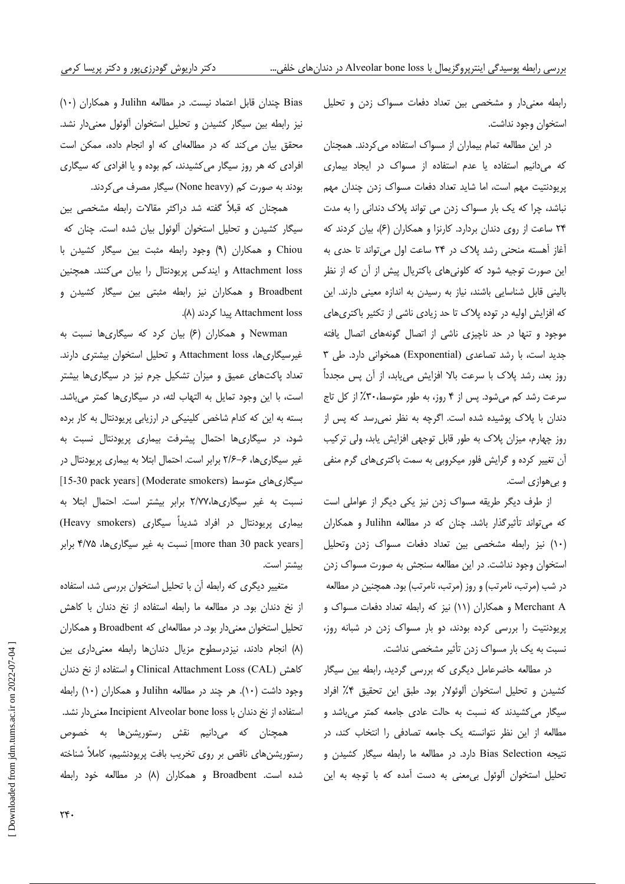رابطه معنیدار و مشخصی بین تعداد دفعات مسواک زدن و تحلیل استخوان وجود نداشت.

در این مطالعه تمام بیماران از مسواک استفاده می کردند. همچنان که میدانیم استفاده یا عدم استفاده از مسواک در ایجاد بیماری پریودنتیت مهم است، اما شاید تعداد دفعات مسواک زدن چندان مهم نباشد، چرا که یک بار مسواک زدن می تواند پلاک دندانی را به مدت ۲۴ ساعت از روی دندان بردارد. کارنزا و همکاران (۶)، بیان کردند که آغاز آهسته منحنی رشد پلاک در ۲۴ ساعت اول می تواند تا حدی به این صورت توجیه شود که کلونیهای باکتریال پیش از آن که از نظر بالینی قابل شناسایی باشند، نیاز به رسیدن به اندازه معینی دارند. این که افزایش اولیه در توده پلاک تا حد زیادی ناشی از تکثیر باکتریهای موجود و تنها در حد ناچیزی ناشی از اتصال گونههای اتصال یافته جدید است، با رشد تصاعدی (Exponential) همخوانی دارد. طی ۳ روز بعد، رشد پلاک با سرعت بالا افزایش می،یابد، از آن پس مجدداً سرعت رشد کم می شود. پس از ۴ روز، به طور متوسط،۳۰٪ از کل تاج دندان با پلاک پوشیده شده است. اگرچه به نظر نمی رسد که پس از روز چهارم، میزان پلاک به طور قابل توجهی افزایش یابد، ولی ترکیب آن تغییر کرده و گرایش فلور میکروبی به سمت باکتریهای گرم منفی و بی هوازی است.

از طرف دیگر طریقه مسواک زدن نیز یکی دیگر از عواملی است که میتواند تأثیرگذار باشد. چنان که در مطالعه Julihn و همکاران (١٠) نيز رابطه مشخصى بين تعداد دفعات مسواك زدن وتحليل استخوان وجود نداشت. در این مطالعه سنجش به صورت مسواک زدن در شب (مرتب، نامرتب) و روز (مرتب، نامرتب) بود. همچنین در مطالعه Merchant A و همکاران (۱۱) نیز که رابطه تعداد دفعات مسواک و پریودنتیت را بررسی کرده بودند، دو بار مسواک زدن در شبانه روز، نسبت به یک بار مسواک زدن تأثیر مشخصی نداشت.

در مطالعه حاضرعامل دیگری که بررسی گردید، رابطه بین سیگار كشيدن وتحليل استخوان آلوئولار بود. طبق اين تحقيق ۴٪ افراد سیگار می کشیدند که نسبت به حالت عادی جامعه کمتر میباشد و مطالعه از این نظر نتوانسته یک جامعه تصادفی را انتخاب کند، در نتیجه Bias Selection دارد. در مطالعه ما رابطه سیگار کشیدن و تحلیل استخوان آلوئول بی معنی به دست آمده که با توجه به این

Bias چندان قابل اعتماد نیست. در مطالعه Julihn و همکاران (۱۰) نیز رابطه بین سیگار کشیدن و تحلیل استخوان آلوئول معنیدار نشد. محقق بیان می کند که در مطالعهای که او انجام داده، ممکن است افرادی که هر روز سیگار میکشیدند، کم بوده و یا افرادی که سیگاری بودند به صورت کم (None heavy) سیگار مصرف می کردند.

همچنان که قبلاً گفته شد دراکثر مقالات رابطه مشخصی بین سیگار کشیدن و تحلیل استخوان آلوئول بیان شده است. چنان که Chiou و همكاران (٩) وجود رابطه مثبت بين سيگار كشيدن با Attachment loss و ایندکس پریودنتال را بیان میکنند. همچنین Broadbent و همکاران نیز رابطه مثبتی بین سیگار کشیدن و Attachment loss ییدا کردند (۸).

Newman و همکاران (۶) بیان کرد که سیگاریها نسبت به غیرسیگاریها، Attachment loss و تحلیل استخوان بیشتری دارند. تعداد پاکتهای عمیق و میزان تشکیل جرم نیز در سیگاریها بیشتر است، با این وجود تمایل به التهاب لثه، در سیگاریها کمتر میباشد. بسته به این که کدام شاخص کلینیکی در ارزیابی پریودنتال به کار برده شود، در سیگاریها احتمال پیشرفت بیماری پریودنتال نسبت به غیر سیگاریها، ۶–۲/۶ برابر است. احتمال ابتلا به بیماری پریودنتال در [15-30 pack years] (Moderate smokers) سیگاری های متوسط نسبت به غیر سیگاری ها،٢/٧٧ برابر بیشتر است. احتمال ابتلا به بیماری پریودنتال در افراد شدیداً سیگاری (Heavy smokers) [more than 30 pack years] نسبت به غیر سیگاریها، ۴/۷۵ برابر بيشتر است.

متغییر دیگری که رابطه آن با تحلیل استخوان بررسی شد، استفاده از نخ دندان بود. در مطالعه ما رابطه استفاده از نخ دندان با كاهش تحلیل استخوان معنی دار بود. در مطالعهای که Broadbent و همکاران (٨) انجام دادند، نیزدرسطوح مزیال دندانها رابطه معنی داری بین كاهش Clinical Attachment Loss (CAL) و استفاده از نخ دندان وجود داشت (١٠). هر چند در مطالعه Julihn و همكاران (١٠) رابطه استفاده از نخ دندان با Incipient Alveolar bone loss معنی دار نشد. همچنان که میدانیم نقش رستوریشنها به خصوص رستوریشنهای ناقص بر روی تخریب بافت پریودنشیم، کاملاً شناخته شده است. Broadbent و همکاران (۸) در مطالعه خود رابطه